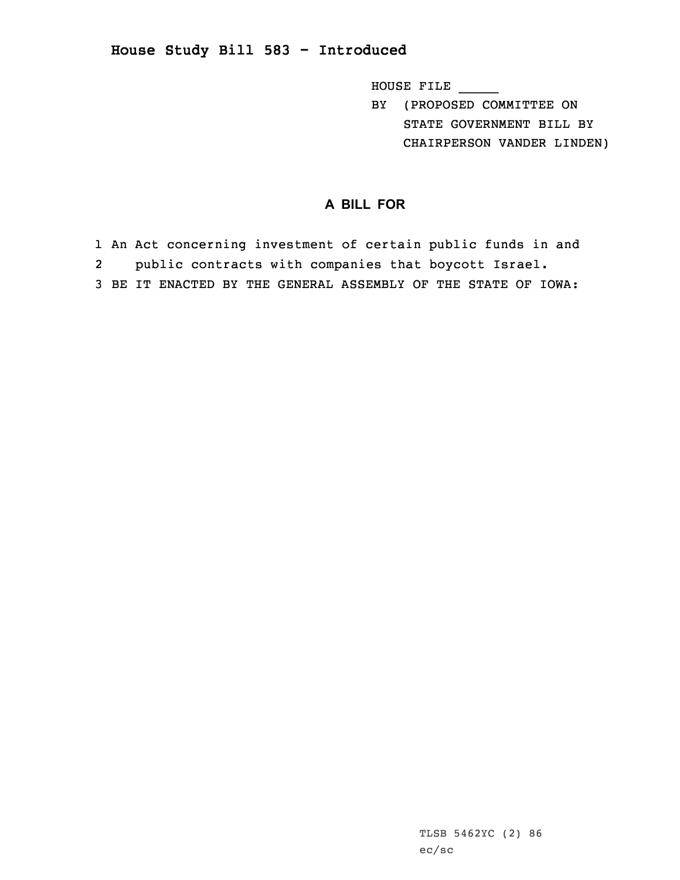**House Study Bill 583 - Introduced**

HOUSE FILE \_\_\_\_\_

BY (PROPOSED COMMITTEE ON STATE GOVERNMENT BILL BY CHAIRPERSON VANDER LINDEN)

## **A BILL FOR**

1 An Act concerning investment of certain public funds in and 2public contracts with companies that boycott Israel.

3 BE IT ENACTED BY THE GENERAL ASSEMBLY OF THE STATE OF IOWA: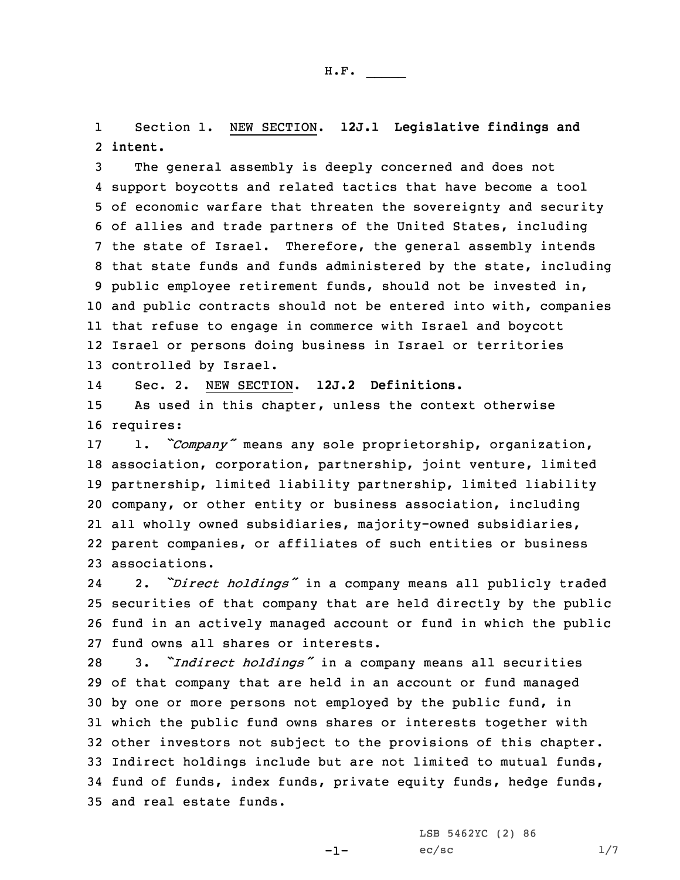1 Section 1. NEW SECTION. **12J.1 Legislative findings and** 2 **intent.**

 The general assembly is deeply concerned and does not support boycotts and related tactics that have become <sup>a</sup> tool of economic warfare that threaten the sovereignty and security of allies and trade partners of the United States, including the state of Israel. Therefore, the general assembly intends that state funds and funds administered by the state, including public employee retirement funds, should not be invested in, and public contracts should not be entered into with, companies that refuse to engage in commerce with Israel and boycott Israel or persons doing business in Israel or territories controlled by Israel.

14Sec. 2. NEW SECTION. **12J.2 Definitions.**

15 As used in this chapter, unless the context otherwise 16 requires:

 1. *"Company"* means any sole proprietorship, organization, association, corporation, partnership, joint venture, limited partnership, limited liability partnership, limited liability company, or other entity or business association, including all wholly owned subsidiaries, majority-owned subsidiaries, parent companies, or affiliates of such entities or business associations.

24 2. *"Direct holdings"* in <sup>a</sup> company means all publicly traded 25 securities of that company that are held directly by the public 26 fund in an actively managed account or fund in which the public 27 fund owns all shares or interests.

 3. *"Indirect holdings"* in <sup>a</sup> company means all securities of that company that are held in an account or fund managed by one or more persons not employed by the public fund, in which the public fund owns shares or interests together with other investors not subject to the provisions of this chapter. Indirect holdings include but are not limited to mutual funds, fund of funds, index funds, private equity funds, hedge funds, and real estate funds.

-1-

LSB 5462YC (2) 86  $ec/sec$   $1/7$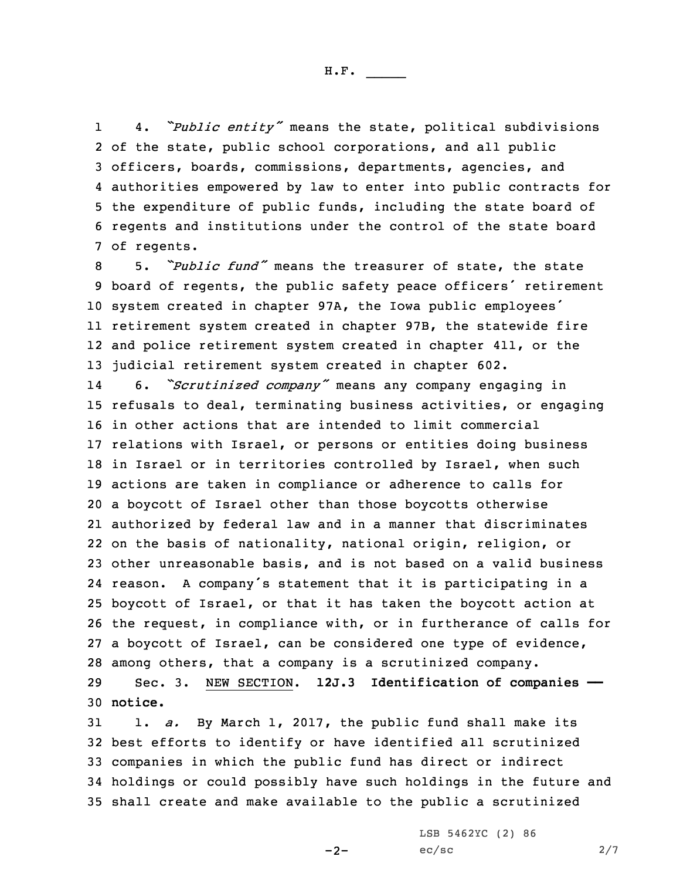H.F. \_\_\_\_\_

1 4. *"Public entity"* means the state, political subdivisions of the state, public school corporations, and all public officers, boards, commissions, departments, agencies, and authorities empowered by law to enter into public contracts for the expenditure of public funds, including the state board of regents and institutions under the control of the state board of regents.

 5. *"Public fund"* means the treasurer of state, the state board of regents, the public safety peace officers' retirement system created in chapter 97A, the Iowa public employees' retirement system created in chapter 97B, the statewide fire and police retirement system created in chapter 411, or the judicial retirement system created in chapter 602.

14 6. *"Scrutinized company"* means any company engaging in refusals to deal, terminating business activities, or engaging in other actions that are intended to limit commercial relations with Israel, or persons or entities doing business 18 in Israel or in territories controlled by Israel, when such actions are taken in compliance or adherence to calls for <sup>a</sup> boycott of Israel other than those boycotts otherwise authorized by federal law and in <sup>a</sup> manner that discriminates on the basis of nationality, national origin, religion, or other unreasonable basis, and is not based on <sup>a</sup> valid business reason. <sup>A</sup> company's statement that it is participating in <sup>a</sup> boycott of Israel, or that it has taken the boycott action at the request, in compliance with, or in furtherance of calls for <sup>a</sup> boycott of Israel, can be considered one type of evidence, among others, that <sup>a</sup> company is <sup>a</sup> scrutinized company.

29 Sec. 3. NEW SECTION. **12J.3 Identification of companies ——** 30 **notice.**

 1. *a.* By March 1, 2017, the public fund shall make its best efforts to identify or have identified all scrutinized companies in which the public fund has direct or indirect holdings or could possibly have such holdings in the future and shall create and make available to the public <sup>a</sup> scrutinized

 $-2-$ 

LSB 5462YC (2) 86  $ec/sec$  2/7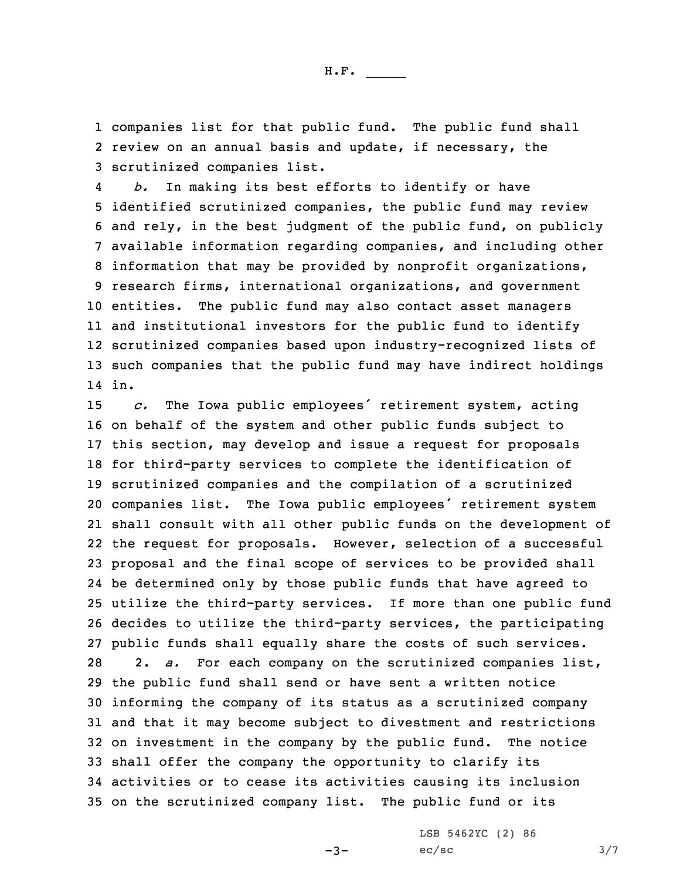1 companies list for that public fund. The public fund shall 2 review on an annual basis and update, if necessary, the 3 scrutinized companies list.

4 *b.* In making its best efforts to identify or have identified scrutinized companies, the public fund may review and rely, in the best judgment of the public fund, on publicly available information regarding companies, and including other information that may be provided by nonprofit organizations, research firms, international organizations, and government entities. The public fund may also contact asset managers and institutional investors for the public fund to identify scrutinized companies based upon industry-recognized lists of such companies that the public fund may have indirect holdings 14 in.

 *c.* The Iowa public employees' retirement system, acting on behalf of the system and other public funds subject to this section, may develop and issue <sup>a</sup> request for proposals for third-party services to complete the identification of scrutinized companies and the compilation of <sup>a</sup> scrutinized companies list. The Iowa public employees' retirement system shall consult with all other public funds on the development of the request for proposals. However, selection of <sup>a</sup> successful proposal and the final scope of services to be provided shall be determined only by those public funds that have agreed to utilize the third-party services. If more than one public fund decides to utilize the third-party services, the participating public funds shall equally share the costs of such services. 2. *a.* For each company on the scrutinized companies list, the public fund shall send or have sent <sup>a</sup> written notice informing the company of its status as <sup>a</sup> scrutinized company and that it may become subject to divestment and restrictions on investment in the company by the public fund. The notice shall offer the company the opportunity to clarify its activities or to cease its activities causing its inclusion on the scrutinized company list. The public fund or its

 $-3-$ 

LSB 5462YC (2) 86  $ec/sec$   $3/7$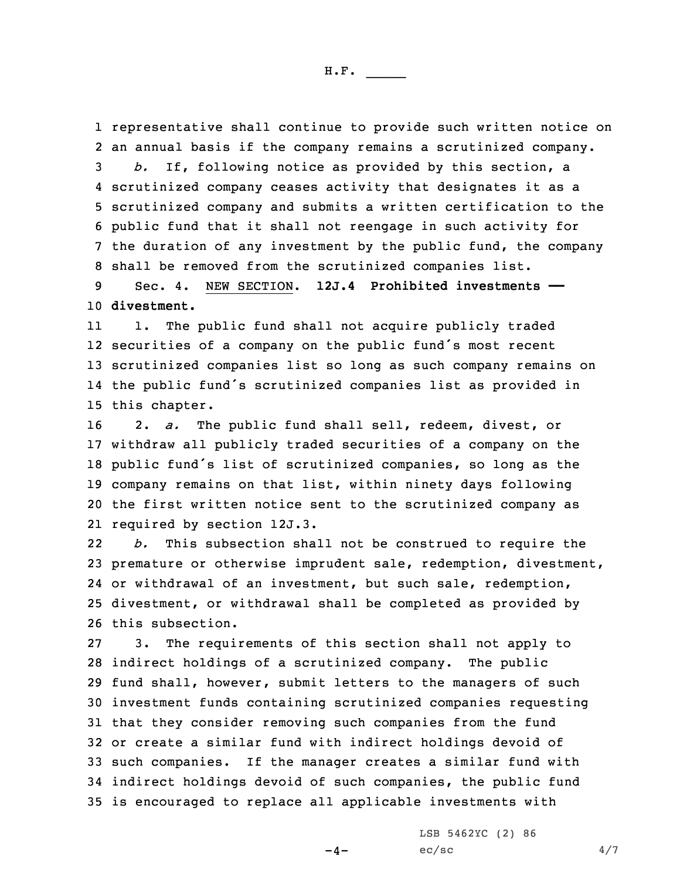representative shall continue to provide such written notice on an annual basis if the company remains <sup>a</sup> scrutinized company. *b.* If, following notice as provided by this section, <sup>a</sup> scrutinized company ceases activity that designates it as <sup>a</sup> scrutinized company and submits <sup>a</sup> written certification to the public fund that it shall not reengage in such activity for the duration of any investment by the public fund, the company shall be removed from the scrutinized companies list.

9 Sec. 4. NEW SECTION. **12J.4 Prohibited investments ——** 10 **divestment.**

11 1. The public fund shall not acquire publicly traded securities of <sup>a</sup> company on the public fund's most recent scrutinized companies list so long as such company remains on the public fund's scrutinized companies list as provided in this chapter.

 2. *a.* The public fund shall sell, redeem, divest, or withdraw all publicly traded securities of <sup>a</sup> company on the public fund's list of scrutinized companies, so long as the company remains on that list, within ninety days following the first written notice sent to the scrutinized company as required by section 12J.3.

22 *b.* This subsection shall not be construed to require the premature or otherwise imprudent sale, redemption, divestment, or withdrawal of an investment, but such sale, redemption, divestment, or withdrawal shall be completed as provided by this subsection.

 3. The requirements of this section shall not apply to indirect holdings of <sup>a</sup> scrutinized company. The public fund shall, however, submit letters to the managers of such investment funds containing scrutinized companies requesting that they consider removing such companies from the fund or create <sup>a</sup> similar fund with indirect holdings devoid of such companies. If the manager creates <sup>a</sup> similar fund with indirect holdings devoid of such companies, the public fund is encouraged to replace all applicable investments with

 $-4-$ 

LSB 5462YC (2) 86  $ec/sec$  4/7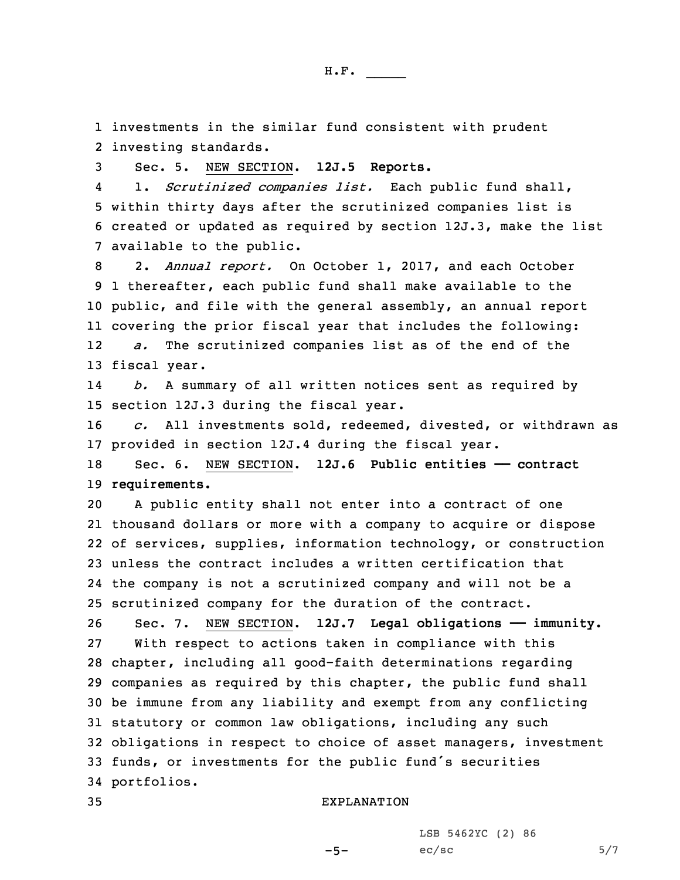1 investments in the similar fund consistent with prudent 2 investing standards.

3 Sec. 5. NEW SECTION. **12J.5 Reports.**

4 1. *Scrutinized companies list.* Each public fund shall, 5 within thirty days after the scrutinized companies list is 6 created or updated as required by section 12J.3, make the list 7 available to the public.

 2. *Annual report.* On October 1, 2017, and each October 1 thereafter, each public fund shall make available to the public, and file with the general assembly, an annual report covering the prior fiscal year that includes the following: 12 *a.* The scrutinized companies list as of the end of the fiscal year.

14 *b.* <sup>A</sup> summary of all written notices sent as required by 15 section 12J.3 during the fiscal year.

16 *c.* All investments sold, redeemed, divested, or withdrawn as 17 provided in section 12J.4 during the fiscal year.

18 Sec. 6. NEW SECTION. **12J.6 Public entities —— contract** 19 **requirements.**

 <sup>A</sup> public entity shall not enter into <sup>a</sup> contract of one thousand dollars or more with <sup>a</sup> company to acquire or dispose of services, supplies, information technology, or construction unless the contract includes <sup>a</sup> written certification that the company is not <sup>a</sup> scrutinized company and will not be <sup>a</sup> scrutinized company for the duration of the contract.

 Sec. 7. NEW SECTION. **12J.7 Legal obligations —— immunity.** With respect to actions taken in compliance with this chapter, including all good-faith determinations regarding companies as required by this chapter, the public fund shall be immune from any liability and exempt from any conflicting statutory or common law obligations, including any such obligations in respect to choice of asset managers, investment funds, or investments for the public fund's securities portfolios.

 $-5-$ 

## 35 EXPLANATION

LSB 5462YC (2) 86  $ec/sec$  5/7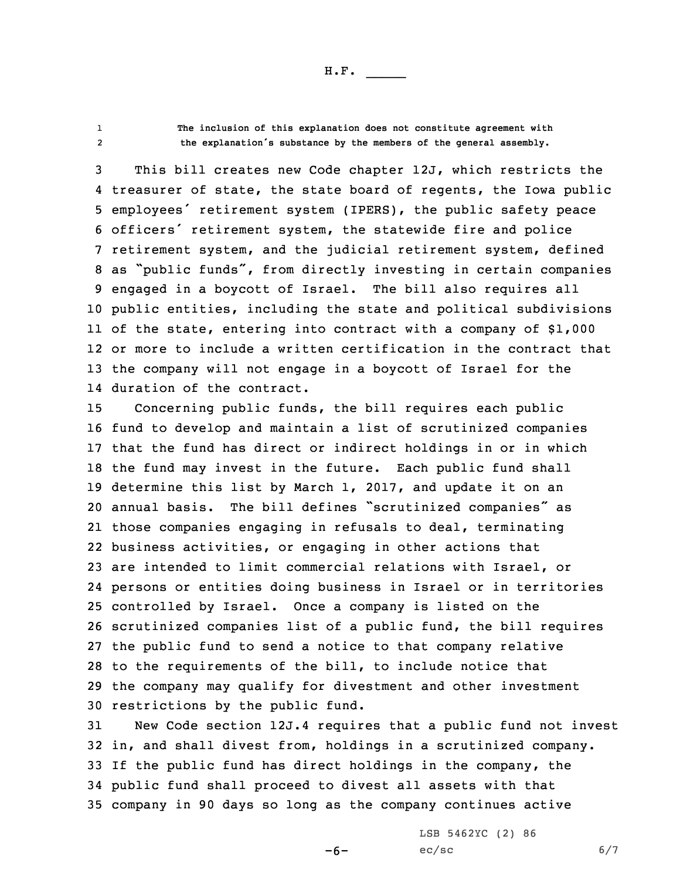H.F. \_\_\_\_\_

12

 **The inclusion of this explanation does not constitute agreement with the explanation's substance by the members of the general assembly.**

 This bill creates new Code chapter 12J, which restricts the treasurer of state, the state board of regents, the Iowa public employees' retirement system (IPERS), the public safety peace officers' retirement system, the statewide fire and police retirement system, and the judicial retirement system, defined as "public funds", from directly investing in certain companies engaged in <sup>a</sup> boycott of Israel. The bill also requires all public entities, including the state and political subdivisions of the state, entering into contract with <sup>a</sup> company of \$1,000 or more to include <sup>a</sup> written certification in the contract that the company will not engage in <sup>a</sup> boycott of Israel for the duration of the contract.

 Concerning public funds, the bill requires each public fund to develop and maintain <sup>a</sup> list of scrutinized companies that the fund has direct or indirect holdings in or in which the fund may invest in the future. Each public fund shall determine this list by March 1, 2017, and update it on an annual basis. The bill defines "scrutinized companies" as those companies engaging in refusals to deal, terminating business activities, or engaging in other actions that are intended to limit commercial relations with Israel, or persons or entities doing business in Israel or in territories controlled by Israel. Once <sup>a</sup> company is listed on the scrutinized companies list of <sup>a</sup> public fund, the bill requires the public fund to send <sup>a</sup> notice to that company relative to the requirements of the bill, to include notice that the company may qualify for divestment and other investment restrictions by the public fund.

 New Code section 12J.4 requires that <sup>a</sup> public fund not invest in, and shall divest from, holdings in <sup>a</sup> scrutinized company. If the public fund has direct holdings in the company, the public fund shall proceed to divest all assets with that company in 90 days so long as the company continues active

-6-

LSB 5462YC (2) 86  $ec/sec$  6/7